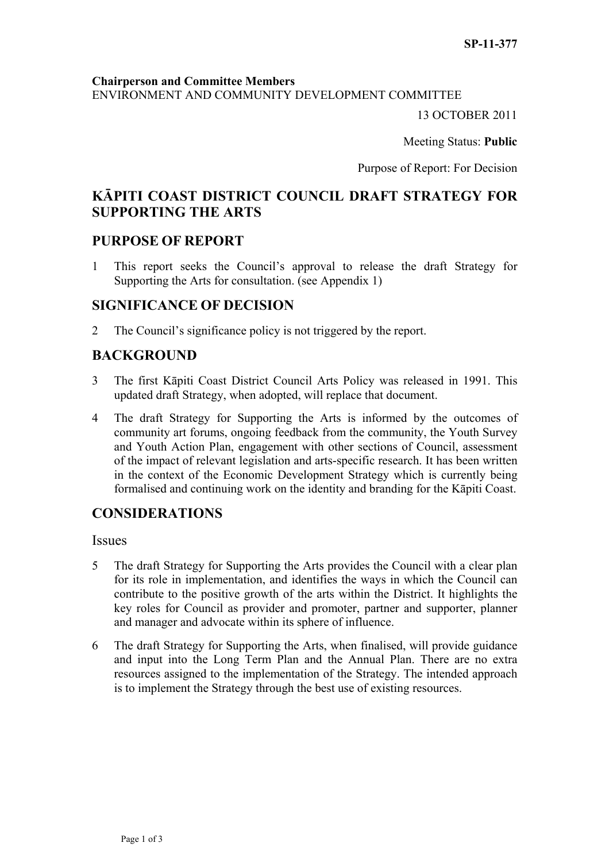#### **Chairperson and Committee Members**

ENVIRONMENT AND COMMUNITY DEVELOPMENT COMMITTEE

13 OCTOBER 2011

Meeting Status: **Public**

Purpose of Report: For Decision

# **KĀPITI COAST DISTRICT COUNCIL DRAFT STRATEGY FOR SUPPORTING THE ARTS**

# **PURPOSE OF REPORT**

1 This report seeks the Council's approval to release the draft Strategy for Supporting the Arts for consultation. (see Appendix 1)

# **SIGNIFICANCE OF DECISION**

2 The Council's significance policy is not triggered by the report.

# **BACKGROUND**

- 3 The first Kāpiti Coast District Council Arts Policy was released in 1991. This updated draft Strategy, when adopted, will replace that document.
- 4 The draft Strategy for Supporting the Arts is informed by the outcomes of community art forums, ongoing feedback from the community, the Youth Survey and Youth Action Plan, engagement with other sections of Council, assessment of the impact of relevant legislation and arts-specific research. It has been written in the context of the Economic Development Strategy which is currently being formalised and continuing work on the identity and branding for the Kāpiti Coast.

# **CONSIDERATIONS**

**Issues** 

- 5 The draft Strategy for Supporting the Arts provides the Council with a clear plan for its role in implementation, and identifies the ways in which the Council can contribute to the positive growth of the arts within the District. It highlights the key roles for Council as provider and promoter, partner and supporter, planner and manager and advocate within its sphere of influence.
- 6 The draft Strategy for Supporting the Arts, when finalised, will provide guidance and input into the Long Term Plan and the Annual Plan. There are no extra resources assigned to the implementation of the Strategy. The intended approach is to implement the Strategy through the best use of existing resources.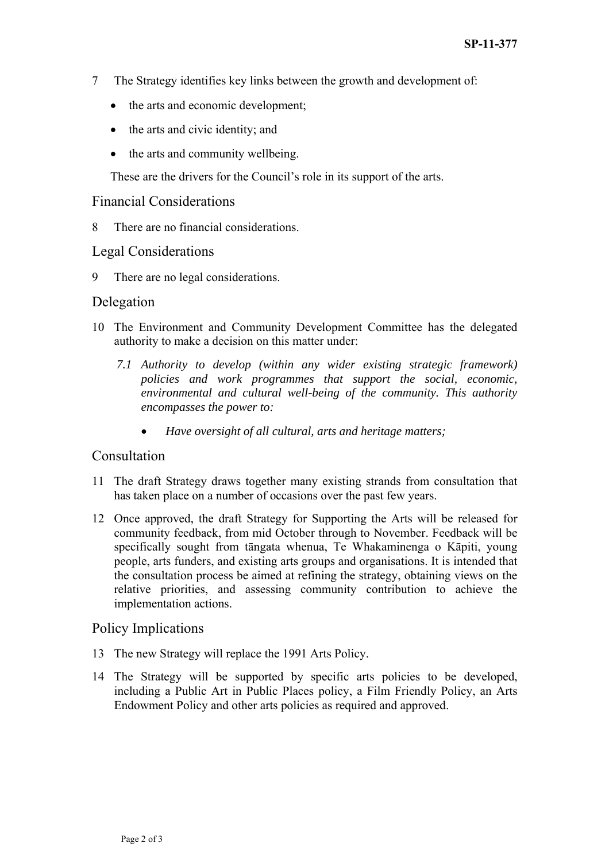- 7 The Strategy identifies key links between the growth and development of:
	- the arts and economic development;
	- the arts and civic identity; and
	- the arts and community wellbeing.

These are the drivers for the Council's role in its support of the arts.

#### Financial Considerations

8 There are no financial considerations.

# Legal Considerations

9 There are no legal considerations.

# Delegation

- 10 The Environment and Community Development Committee has the delegated authority to make a decision on this matter under:
	- *7.1 Authority to develop (within any wider existing strategic framework) policies and work programmes that support the social, economic, environmental and cultural well-being of the community. This authority encompasses the power to:* 
		- *Have oversight of all cultural, arts and heritage matters;*

# Consultation

- 11 The draft Strategy draws together many existing strands from consultation that has taken place on a number of occasions over the past few years.
- 12 Once approved, the draft Strategy for Supporting the Arts will be released for community feedback, from mid October through to November. Feedback will be specifically sought from tāngata whenua, Te Whakaminenga o Kāpiti, young people, arts funders, and existing arts groups and organisations. It is intended that the consultation process be aimed at refining the strategy, obtaining views on the relative priorities, and assessing community contribution to achieve the implementation actions.

#### Policy Implications

- 13 The new Strategy will replace the 1991 Arts Policy.
- 14 The Strategy will be supported by specific arts policies to be developed, including a Public Art in Public Places policy, a Film Friendly Policy, an Arts Endowment Policy and other arts policies as required and approved.